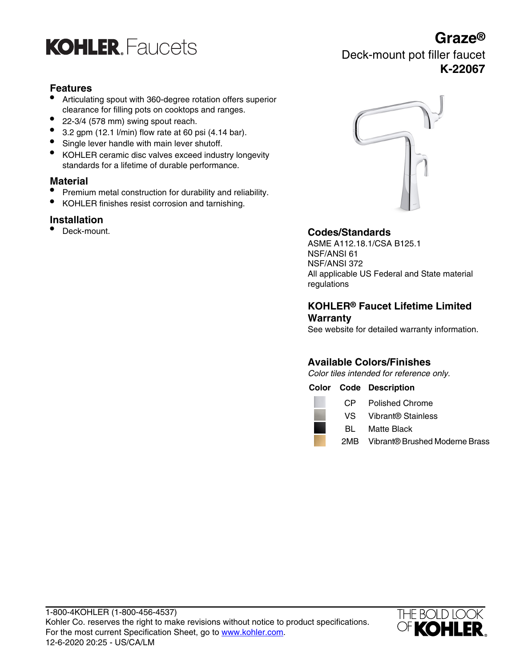

## **Features**

- Articulating spout with 360-degree rotation offers superior clearance for filling pots on cooktops and ranges.
- 22-3/4 (578 mm) swing spout reach.
- $\bullet$  3.2 gpm (12.1 l/min) flow rate at 60 psi (4.14 bar).
- Single lever handle with main lever shutoff.
- KOHLER ceramic disc valves exceed industry longevity standards for a lifetime of durable performance.

## **Material**

- Premium metal construction for durability and reliability.
- KOHLER finishes resist corrosion and tarnishing.

## **Installation**<br>• Deck-mount.



## • Deck-mount. **Codes/Standards**

ASME A112.18.1/CSA B125.1 NSF/ANSI 61 NSF/ANSI 372 All applicable US Federal and State material regulations

### **KOHLER® Faucet Lifetime Limited Warranty**

See website for detailed warranty information.

## **Available Colors/Finishes**

Color tiles intended for reference only.

### **Color Code Description**

|     | CP Polished Chrome                 |
|-----|------------------------------------|
|     | VS Vibrant® Stainless              |
| BL. | Matte Black                        |
|     | 2MB Vibrant® Brushed Moderne Brass |



## **Graze®**

Deck-mount pot filler faucet **K-22067**